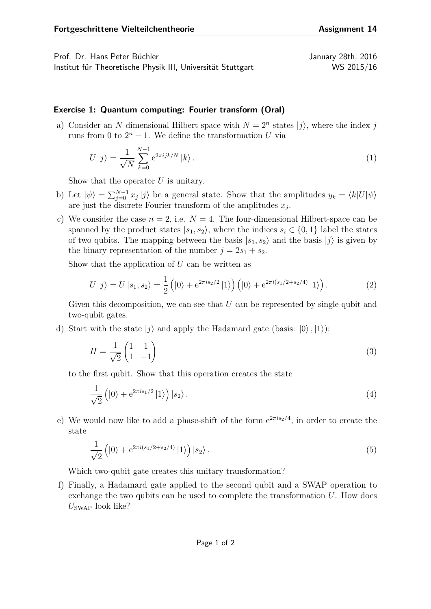Prof. Dr. Hans Peter Büchler January 28th, 2016 Institut für Theoretische Physik III, Universität Stuttgart WS 2015/16

## **Exercise 1: Quantum computing: Fourier transform (Oral)**

a) Consider an *N*-dimensional Hilbert space with  $N = 2<sup>n</sup>$  states  $|j\rangle$ , where the index *j* runs from 0 to  $2^n - 1$ . We define the transformation *U* via

$$
U|j\rangle = \frac{1}{\sqrt{N}} \sum_{k=0}^{N-1} e^{2\pi i jk/N} |k\rangle.
$$
 (1)

Show that the operator *U* is unitary.

- b) Let  $|\psi\rangle = \sum_{j=0}^{N-1} x_j |j\rangle$  be a general state. Show that the amplitudes  $y_k = \langle k|U|\psi\rangle$ are just the discrete Fourier transform of the amplitudes *x<sup>j</sup>* .
- c) We consider the case  $n = 2$ , i.e.  $N = 4$ . The four-dimensional Hilbert-space can be spanned by the product states  $|s_1, s_2\rangle$ , where the indices  $s_i \in \{0, 1\}$  label the states of two qubits. The mapping between the basis  $|s_1, s_2\rangle$  and the basis  $|j\rangle$  is given by the binary representation of the number  $j = 2s_1 + s_2$ .

Show that the application of *U* can be written as

$$
U|j\rangle = U|s_1, s_2\rangle = \frac{1}{2} (|0\rangle + e^{2\pi i s_2/2} |1\rangle) (|0\rangle + e^{2\pi i (s_1/2 + s_2/4)} |1\rangle).
$$
 (2)

Given this decomposition, we can see that U can be represented by single-qubit and two-qubit gates.

d) Start with the state  $|i\rangle$  and apply the Hadamard gate (basis:  $|0\rangle$ ,  $|1\rangle$ ):

$$
H = \frac{1}{\sqrt{2}} \begin{pmatrix} 1 & 1 \\ 1 & -1 \end{pmatrix} \tag{3}
$$

to the first qubit. Show that this operation creates the state

$$
\frac{1}{\sqrt{2}}\left(|0\rangle + e^{2\pi i s_1/2}|1\rangle\right)|s_2\rangle.
$$
\n(4)

e) We would now like to add a phase-shift of the form e 2*πis*2*/*4 , in order to create the state

$$
\frac{1}{\sqrt{2}}\left(|0\rangle + e^{2\pi i (s_1/2 + s_2/4)}|1\rangle\right)|s_2\rangle.
$$
\n(5)

Which two-qubit gate creates this unitary transformation?

f) Finally, a Hadamard gate applied to the second qubit and a SWAP operation to exchange the two qubits can be used to complete the transformation *U*. How does *U*SWAP look like?